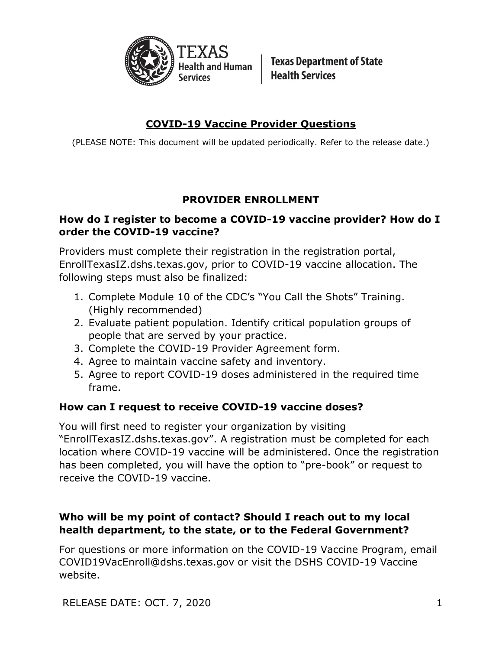

**Texas Department of State Health Services** 

# **COVID-19 Vaccine Provider Questions**

(PLEASE NOTE: This document will be updated periodically. Refer to the release date.)

# **PROVIDER ENROLLMENT**

### **How do I register to become a COVID-19 vaccine provider? How do I order the COVID-19 vaccine?**

Providers must complete their registration in the registration portal, EnrollTexasIZ.dshs.texas.gov, prior to COVID-19 vaccine allocation. The following steps must also be finalized:

- 1. Complete Module 10 of the CDC's "You Call the Shots" Training. (Highly recommended)
- 2. Evaluate patient population. Identify critical population groups of people that are served by your practice.
- 3. Complete the COVID-19 Provider Agreement form.
- 4. Agree to maintain vaccine safety and inventory.
- 5. Agree to report COVID-19 doses administered in the required time frame.

# **How can I request to receive COVID-19 vaccine doses?**

You will first need to register your organization by visiting "EnrollTexasIZ.dshs.texas.gov". A registration must be completed for each location where COVID-19 vaccine will be administered. Once the registration has been completed, you will have the option to "pre-book" or request to receive the COVID-19 vaccine.

# **Who will be my point of contact? Should I reach out to my local health department, to the state, or to the Federal Government?**

For questions or more information on the COVID-19 Vaccine Program, email COVID19VacEnroll@dshs.texas.gov or visit the DSHS COVID-19 Vaccine website.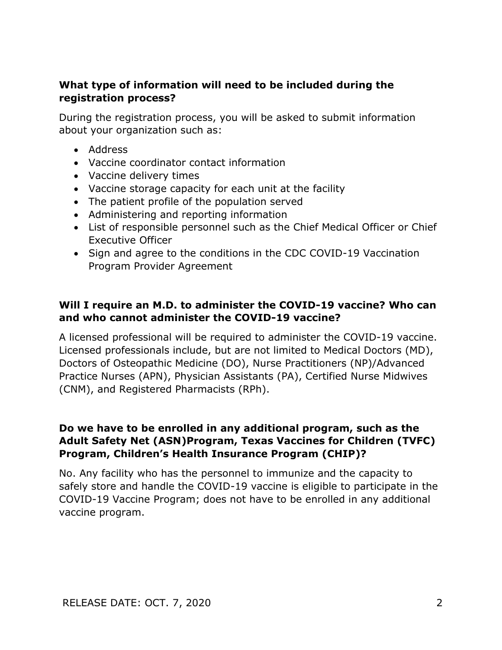#### **What type of information will need to be included during the registration process?**

During the registration process, you will be asked to submit information about your organization such as:

- Address
- Vaccine coordinator contact information
- Vaccine delivery times
- Vaccine storage capacity for each unit at the facility
- The patient profile of the population served
- Administering and reporting information
- List of responsible personnel such as the Chief Medical Officer or Chief Executive Officer
- Sign and agree to the conditions in the CDC COVID-19 Vaccination Program Provider Agreement

#### **Will I require an M.D. to administer the COVID-19 vaccine? Who can and who cannot administer the COVID-19 vaccine?**

A licensed professional will be required to administer the COVID-19 vaccine. Licensed professionals include, but are not limited to Medical Doctors (MD), Doctors of Osteopathic Medicine (DO), Nurse Practitioners (NP)/Advanced Practice Nurses (APN), Physician Assistants (PA), Certified Nurse Midwives (CNM), and Registered Pharmacists (RPh).

#### **Do we have to be enrolled in any additional program, such as the Adult Safety Net (ASN)Program, Texas Vaccines for Children (TVFC) Program, Children's Health Insurance Program (CHIP)?**

No. Any facility who has the personnel to immunize and the capacity to safely store and handle the COVID-19 vaccine is eligible to participate in the COVID-19 Vaccine Program; does not have to be enrolled in any additional vaccine program.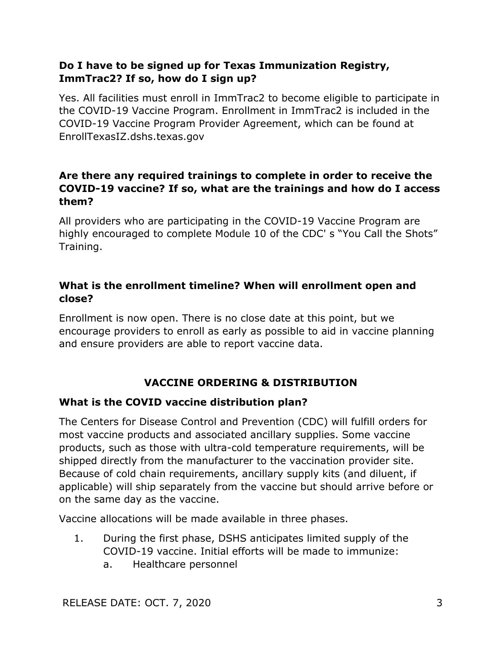### **Do I have to be signed up for Texas Immunization Registry, ImmTrac2? If so, how do I sign up?**

Yes. All facilities must enroll in ImmTrac2 to become eligible to participate in the COVID-19 Vaccine Program. Enrollment in ImmTrac2 is included in the COVID-19 Vaccine Program Provider Agreement, which can be found at EnrollTexasIZ.dshs.texas.gov

### **Are there any required trainings to complete in order to receive the COVID-19 vaccine? If so, what are the trainings and how do I access them?**

All providers who are participating in the COVID-19 Vaccine Program are highly encouraged to complete Module 10 of the CDC' s "You Call the Shots" Training.

### **What is the enrollment timeline? When will enrollment open and close?**

Enrollment is now open. There is no close date at this point, but we encourage providers to enroll as early as possible to aid in vaccine planning and ensure providers are able to report vaccine data.

# **VACCINE ORDERING & DISTRIBUTION**

#### **What is the COVID vaccine distribution plan?**

The Centers for Disease Control and Prevention (CDC) will fulfill orders for most vaccine products and associated ancillary supplies. Some vaccine products, such as those with ultra-cold temperature requirements, will be shipped directly from the manufacturer to the vaccination provider site. Because of cold chain requirements, ancillary supply kits (and diluent, if applicable) will ship separately from the vaccine but should arrive before or on the same day as the vaccine.

Vaccine allocations will be made available in three phases.

- 1. During the first phase, DSHS anticipates limited supply of the COVID-19 vaccine. Initial efforts will be made to immunize:
	- a. Healthcare personnel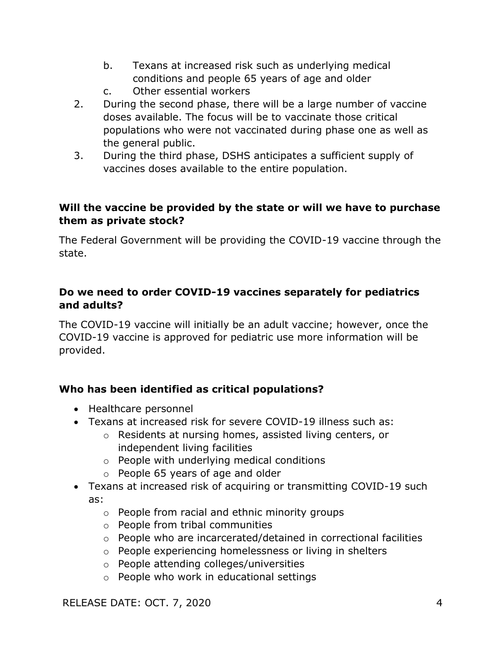- b. Texans at increased risk such as underlying medical conditions and people 65 years of age and older
- c. Other essential workers
- 2. During the second phase, there will be a large number of vaccine doses available. The focus will be to vaccinate those critical populations who were not vaccinated during phase one as well as the general public.
- 3. During the third phase, DSHS anticipates a sufficient supply of vaccines doses available to the entire population.

#### **Will the vaccine be provided by the state or will we have to purchase them as private stock?**

The Federal Government will be providing the COVID-19 vaccine through the state.

### **Do we need to order COVID-19 vaccines separately for pediatrics and adults?**

The COVID-19 vaccine will initially be an adult vaccine; however, once the COVID-19 vaccine is approved for pediatric use more information will be provided.

# **Who has been identified as critical populations?**

- Healthcare personnel
- Texans at increased risk for severe COVID-19 illness such as:
	- o Residents at nursing homes, assisted living centers, or independent living facilities
	- o People with underlying medical conditions
	- o People 65 years of age and older
- Texans at increased risk of acquiring or transmitting COVID-19 such as:
	- o People from racial and ethnic minority groups
	- o People from tribal communities
	- o People who are incarcerated/detained in correctional facilities
	- o People experiencing homelessness or living in shelters
	- o People attending colleges/universities
	- o People who work in educational settings

RELEASE DATE: OCT. 7, 2020 4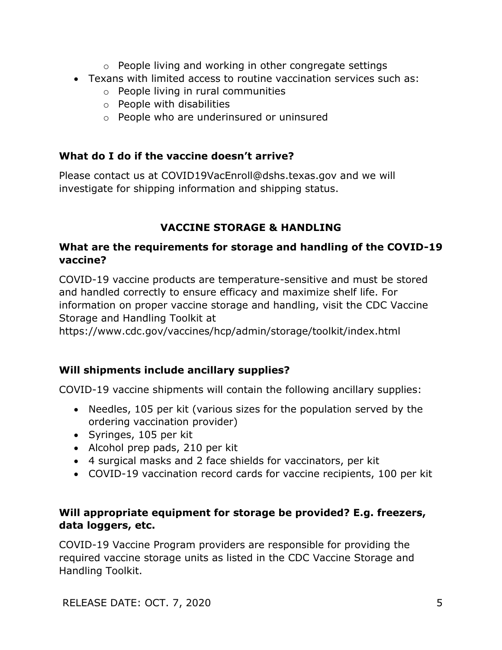- o People living and working in other congregate settings
- Texans with limited access to routine vaccination services such as:
	- o People living in rural communities
	- o People with disabilities
	- o People who are underinsured or uninsured

# **What do I do if the vaccine doesn't arrive?**

Please contact us at COVID19VacEnroll@dshs.texas.gov and we will investigate for shipping information and shipping status.

# **VACCINE STORAGE & HANDLING**

### **What are the requirements for storage and handling of the COVID-19 vaccine?**

COVID-19 vaccine products are temperature-sensitive and must be stored and handled correctly to ensure efficacy and maximize shelf life. For information on proper vaccine storage and handling, visit the CDC Vaccine Storage and Handling Toolkit at

https://www.cdc.gov/vaccines/hcp/admin/storage/toolkit/index.html

# **Will shipments include ancillary supplies?**

COVID-19 vaccine shipments will contain the following ancillary supplies:

- Needles, 105 per kit (various sizes for the population served by the ordering vaccination provider)
- Syringes, 105 per kit
- Alcohol prep pads, 210 per kit
- 4 surgical masks and 2 face shields for vaccinators, per kit
- COVID-19 vaccination record cards for vaccine recipients, 100 per kit

### **Will appropriate equipment for storage be provided? E.g. freezers, data loggers, etc.**

COVID-19 Vaccine Program providers are responsible for providing the required vaccine storage units as listed in the CDC Vaccine Storage and Handling Toolkit.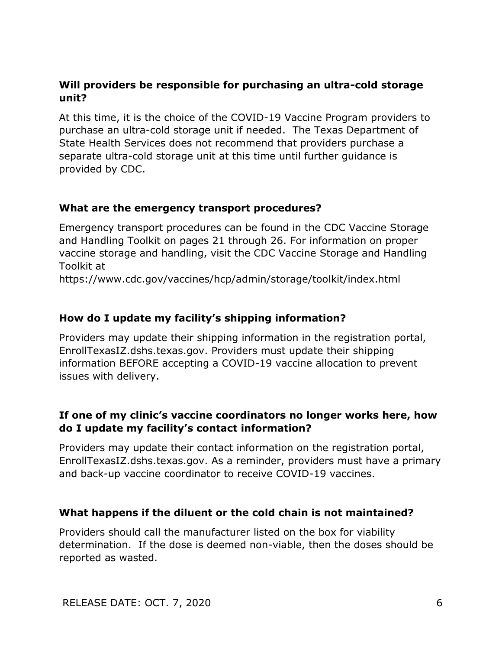#### **Will providers be responsible for purchasing an ultra-cold storage unit?**

At this time, it is the choice of the COVID-19 Vaccine Program providers to purchase an ultra-cold storage unit if needed. The Texas Department of State Health Services does not recommend that providers purchase a separate ultra-cold storage unit at this time until further guidance is provided by CDC.

#### **What are the emergency transport procedures?**

Emergency transport procedures can be found in the CDC Vaccine Storage and Handling Toolkit on pages 21 through 26. For information on proper vaccine storage and handling, visit the CDC Vaccine Storage and Handling Toolkit at

https://www.cdc.gov/vaccines/hcp/admin/storage/toolkit/index.html

#### **How do I update my facility's shipping information?**

Providers may update their shipping information in the registration portal, EnrollTexasIZ.dshs.texas.gov. Providers must update their shipping information BEFORE accepting a COVID-19 vaccine allocation to prevent issues with delivery.

### **If one of my clinic's vaccine coordinators no longer works here, how do I update my facility's contact information?**

Providers may update their contact information on the registration portal, EnrollTexasIZ.dshs.texas.gov. As a reminder, providers must have a primary and back-up vaccine coordinator to receive COVID-19 vaccines.

#### **What happens if the diluent or the cold chain is not maintained?**

Providers should call the manufacturer listed on the box for viability determination. If the dose is deemed non-viable, then the doses should be reported as wasted.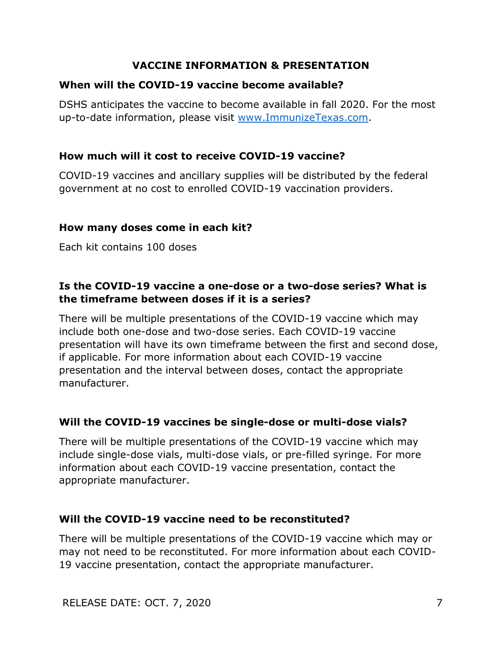### **VACCINE INFORMATION & PRESENTATION**

#### **When will the COVID-19 vaccine become available?**

DSHS anticipates the vaccine to become available in fall 2020. For the most up-to-date information, please visit [www.ImmunizeTexas.com.](http://www.immunizetexas.com/)

### **How much will it cost to receive COVID-19 vaccine?**

COVID-19 vaccines and ancillary supplies will be distributed by the federal government at no cost to enrolled COVID-19 vaccination providers.

#### **How many doses come in each kit?**

Each kit contains 100 doses

### **Is the COVID-19 vaccine a one-dose or a two-dose series? What is the timeframe between doses if it is a series?**

There will be multiple presentations of the COVID-19 vaccine which may include both one-dose and two-dose series. Each COVID-19 vaccine presentation will have its own timeframe between the first and second dose, if applicable. For more information about each COVID-19 vaccine presentation and the interval between doses, contact the appropriate manufacturer.

#### **Will the COVID-19 vaccines be single-dose or multi-dose vials?**

There will be multiple presentations of the COVID-19 vaccine which may include single-dose vials, multi-dose vials, or pre-filled syringe. For more information about each COVID-19 vaccine presentation, contact the appropriate manufacturer.

#### **Will the COVID-19 vaccine need to be reconstituted?**

There will be multiple presentations of the COVID-19 vaccine which may or may not need to be reconstituted. For more information about each COVID-19 vaccine presentation, contact the appropriate manufacturer.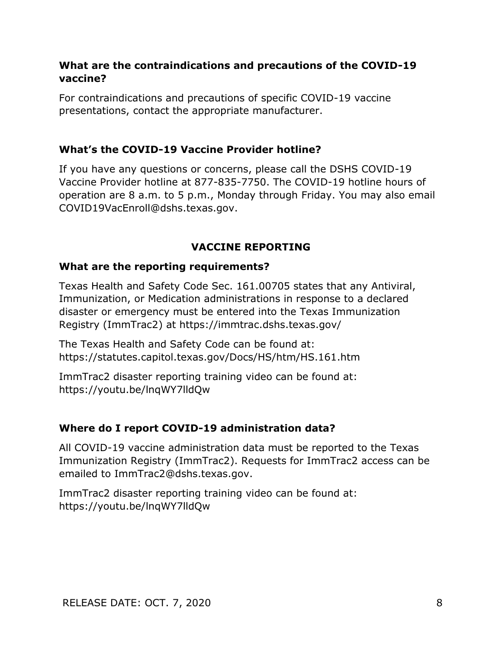#### **What are the contraindications and precautions of the COVID-19 vaccine?**

For contraindications and precautions of specific COVID-19 vaccine presentations, contact the appropriate manufacturer.

#### **What's the COVID-19 Vaccine Provider hotline?**

If you have any questions or concerns, please call the DSHS COVID-19 Vaccine Provider hotline at 877-835-7750. The COVID-19 hotline hours of operation are 8 a.m. to 5 p.m., Monday through Friday. You may also email COVID19VacEnroll@dshs.texas.gov.

#### **VACCINE REPORTING**

#### **What are the reporting requirements?**

Texas Health and Safety Code Sec. 161.00705 states that any Antiviral, Immunization, or Medication administrations in response to a declared disaster or emergency must be entered into the Texas Immunization Registry (ImmTrac2) at https://immtrac.dshs.texas.gov/

The Texas Health and Safety Code can be found at: https://statutes.capitol.texas.gov/Docs/HS/htm/HS.161.htm

ImmTrac2 disaster reporting training video can be found at: https://youtu.be/lnqWY7lldQw

#### **Where do I report COVID-19 administration data?**

All COVID-19 vaccine administration data must be reported to the Texas Immunization Registry (ImmTrac2). Requests for ImmTrac2 access can be emailed to ImmTrac2@dshs.texas.gov.

ImmTrac2 disaster reporting training video can be found at: https://youtu.be/lnqWY7lldQw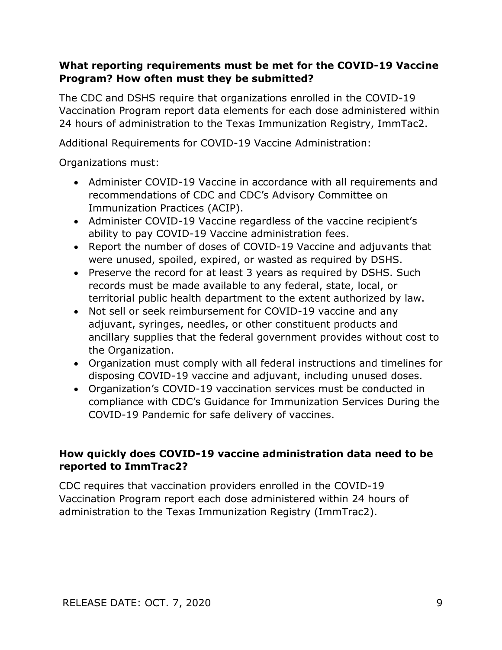### **What reporting requirements must be met for the COVID-19 Vaccine Program? How often must they be submitted?**

The CDC and DSHS require that organizations enrolled in the COVID-19 Vaccination Program report data elements for each dose administered within 24 hours of administration to the Texas Immunization Registry, ImmTac2.

Additional Requirements for COVID-19 Vaccine Administration:

Organizations must:

- Administer COVID-19 Vaccine in accordance with all requirements and recommendations of CDC and CDC's Advisory Committee on Immunization Practices (ACIP).
- Administer COVID-19 Vaccine regardless of the vaccine recipient's ability to pay COVID-19 Vaccine administration fees.
- Report the number of doses of COVID-19 Vaccine and adjuvants that were unused, spoiled, expired, or wasted as required by DSHS.
- Preserve the record for at least 3 years as required by DSHS. Such records must be made available to any federal, state, local, or territorial public health department to the extent authorized by law.
- Not sell or seek reimbursement for COVID-19 vaccine and any adjuvant, syringes, needles, or other constituent products and ancillary supplies that the federal government provides without cost to the Organization.
- Organization must comply with all federal instructions and timelines for disposing COVID-19 vaccine and adjuvant, including unused doses.
- Organization's COVID-19 vaccination services must be conducted in compliance with CDC's Guidance for Immunization Services During the COVID-19 Pandemic for safe delivery of vaccines.

# **How quickly does COVID-19 vaccine administration data need to be reported to ImmTrac2?**

CDC requires that vaccination providers enrolled in the COVID-19 Vaccination Program report each dose administered within 24 hours of administration to the Texas Immunization Registry (ImmTrac2).